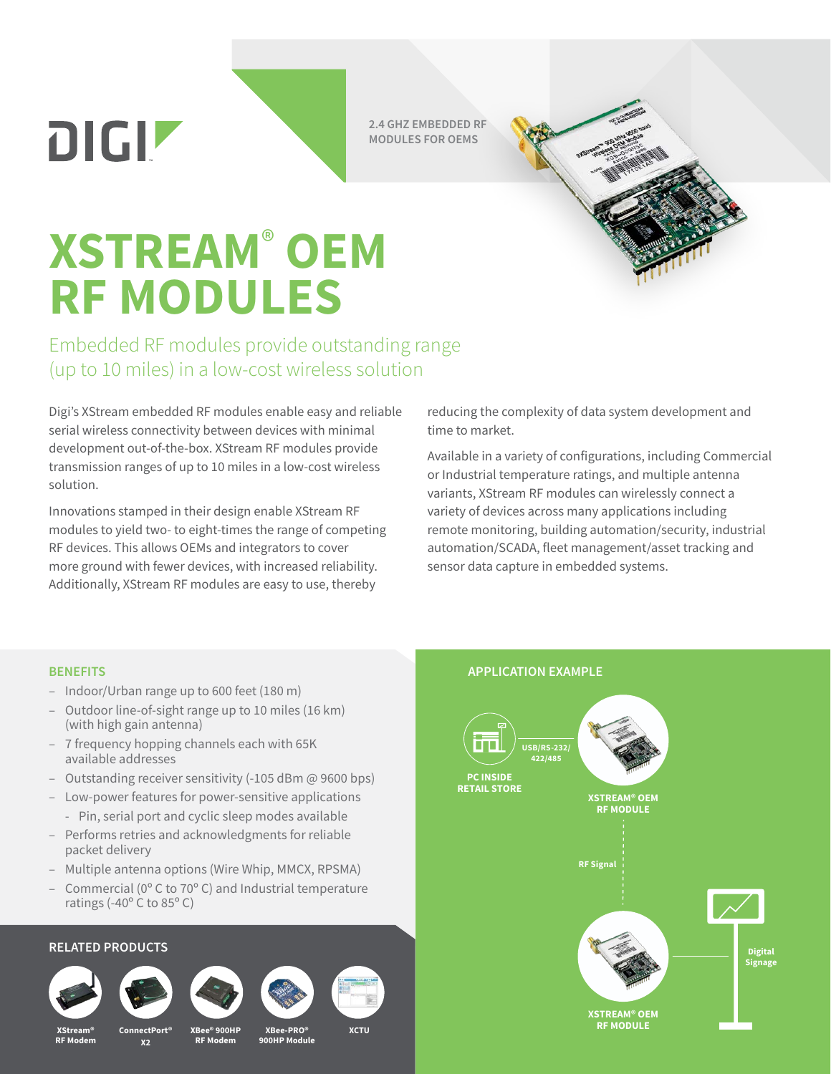DIGIZ

**2.4 GHZ EMBEDDED RF MODULES FOR OEMS**



# **XSTREAM**®  **OEM RF MODULES**

Embedded RF modules provide outstanding range (up to 10 miles) in a low-cost wireless solution

Digi's XStream embedded RF modules enable easy and reliable serial wireless connectivity between devices with minimal development out-of-the-box. XStream RF modules provide transmission ranges of up to 10 miles in a low-cost wireless solution.

Innovations stamped in their design enable XStream RF modules to yield two- to eight-times the range of competing RF devices. This allows OEMs and integrators to cover more ground with fewer devices, with increased reliability. Additionally, XStream RF modules are easy to use, thereby

reducing the complexity of data system development and time to market.

Available in a variety of configurations, including Commercial or Industrial temperature ratings, and multiple antenna variants, XStream RF modules can wirelessly connect a variety of devices across many applications including remote monitoring, building automation/security, industrial automation/SCADA, fleet management/asset tracking and sensor data capture in embedded systems.

**APPLICATION EXAMPLE**

#### **BENEFITS**

- Indoor/Urban range up to 600 feet (180 m)
- Outdoor line-of-sight range up to 10 miles (16 km) (with high gain antenna)
- 7 frequency hopping channels each with 65K available addresses
- Outstanding receiver sensitivity (-105 dBm @ 9600 bps)
- Low-power features for power-sensitive applications
	- Pin, serial port and cyclic sleep modes available
- Performs retries and acknowledgments for reliable packet delivery
- Multiple antenna options (Wire Whip, MMCX, RPSMA)
- Commercial (0º C to 70º C) and Industrial temperature ratings (-40º C to 85º C)

### **RELATED PRODUCTS**









**USB/RS-232/ 422/485 PC INSIDE RETAIL STORE XSTREAM® OEM RF MODULE Digital Signage RF Signal XSTREAM® OEM RF MODULE XStream®**

**RF Modem**

**X2**

**XBee® 900HP RF Modem**

**ConnectPort® XCTU XBee-PRO® 900HP Module**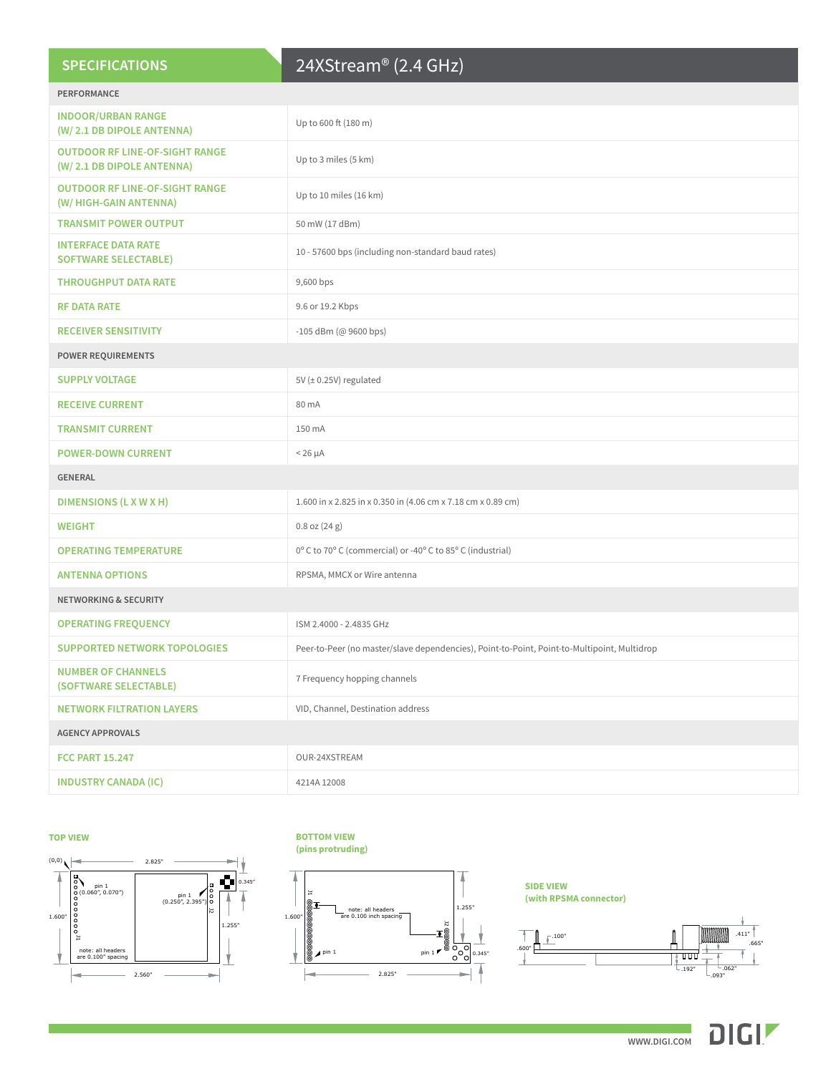| <b>SPECIFICATIONS</b> |  |  |
|-----------------------|--|--|
|                       |  |  |

## 24XStream® (2.4 GHz)

| <b>PERFORMANCE</b>                                                 |                                                                                             |  |  |  |
|--------------------------------------------------------------------|---------------------------------------------------------------------------------------------|--|--|--|
| <b>INDOOR/URBAN RANGE</b><br>(W/2.1 DB DIPOLE ANTENNA)             | Up to 600 ft (180 m)                                                                        |  |  |  |
| <b>OUTDOOR RF LINE-OF-SIGHT RANGE</b><br>(W/2.1 DB DIPOLE ANTENNA) | Up to 3 miles (5 km)                                                                        |  |  |  |
| <b>OUTDOOR RF LINE-OF-SIGHT RANGE</b><br>(W/ HIGH-GAIN ANTENNA)    | Up to 10 miles (16 km)                                                                      |  |  |  |
| <b>TRANSMIT POWER OUTPUT</b>                                       | 50 mW (17 dBm)                                                                              |  |  |  |
| <b>INTERFACE DATA RATE</b><br><b>SOFTWARE SELECTABLE)</b>          | 10 - 57600 bps (including non-standard baud rates)                                          |  |  |  |
| <b>THROUGHPUT DATA RATE</b>                                        | 9,600 bps                                                                                   |  |  |  |
| <b>RF DATA RATE</b>                                                | 9.6 or 19.2 Kbps                                                                            |  |  |  |
| <b>RECEIVER SENSITIVITY</b>                                        | -105 dBm (@ 9600 bps)                                                                       |  |  |  |
| <b>POWER REQUIREMENTS</b>                                          |                                                                                             |  |  |  |
| <b>SUPPLY VOLTAGE</b>                                              | 5V (± 0.25V) regulated                                                                      |  |  |  |
| <b>RECEIVE CURRENT</b>                                             | 80 mA                                                                                       |  |  |  |
| <b>TRANSMIT CURRENT</b>                                            | 150 mA                                                                                      |  |  |  |
| <b>POWER-DOWN CURRENT</b>                                          | $< 26 \mu A$                                                                                |  |  |  |
| <b>GENERAL</b>                                                     |                                                                                             |  |  |  |
| DIMENSIONS (L X W X H)                                             | 1.600 in x 2.825 in x 0.350 in (4.06 cm x 7.18 cm x 0.89 cm)                                |  |  |  |
| <b>WEIGHT</b>                                                      |                                                                                             |  |  |  |
|                                                                    | $0.8$ oz $(24 g)$                                                                           |  |  |  |
| <b>OPERATING TEMPERATURE</b>                                       | 0° C to 70° C (commercial) or -40° C to 85° C (industrial)                                  |  |  |  |
| <b>ANTENNA OPTIONS</b>                                             | RPSMA, MMCX or Wire antenna                                                                 |  |  |  |
| <b>NETWORKING &amp; SECURITY</b>                                   |                                                                                             |  |  |  |
| <b>OPERATING FREQUENCY</b>                                         | ISM 2.4000 - 2.4835 GHz                                                                     |  |  |  |
| <b>SUPPORTED NETWORK TOPOLOGIES</b>                                | Peer-to-Peer (no master/slave dependencies), Point-to-Point, Point-to-Multipoint, Multidrop |  |  |  |
| <b>NUMBER OF CHANNELS</b><br>(SOFTWARE SELECTABLE)                 | 7 Frequency hopping channels                                                                |  |  |  |
| <b>NETWORK FILTRATION LAYERS</b>                                   | VID, Channel, Destination address                                                           |  |  |  |
| <b>AGENCY APPROVALS</b>                                            |                                                                                             |  |  |  |
| <b>FCC PART 15.247</b>                                             | OUR-24XSTREAM                                                                               |  |  |  |

**TOP VIEW**



## **BOTTOM VIEW BOTTOM VIEW**